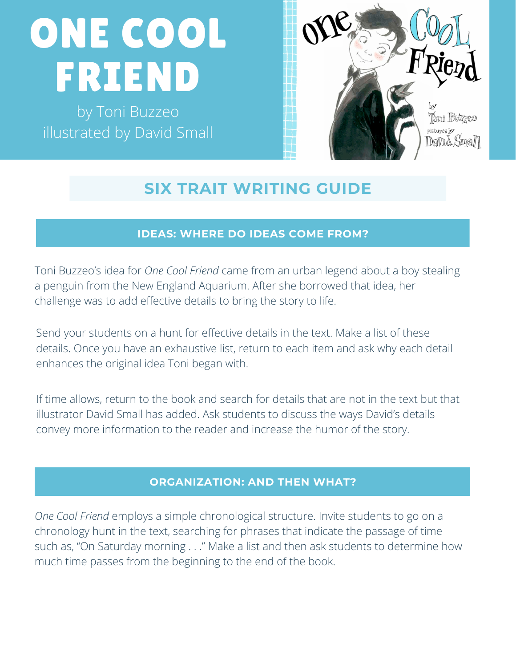# ONE COOL FRIEND

by Toni Buzzeo illustrated by David Small



# **SIX TRAIT WRITING GUIDE**

#### **IDEAS: WHERE DO IDEAS COME FROM?**

Toni Buzzeo's idea for *One Cool Friend* came from an urban legend about a boy stealing a penguin from the New England Aquarium. After she borrowed that idea, her challenge was to add effective details to bring the story to life.

Send your students on a hunt for effective details in the text. Make a list of these details. Once you have an exhaustive list, return to each item and ask why each detail enhances the original idea Toni began with.

If time allows, return to the book and search for details that are not in the text but that illustrator David Small has added. Ask students to discuss the ways David's details convey more information to the reader and increase the humor of the story.

## **ORGANIZATION: AND THEN WHAT?**

*One Cool Friend* employs a simple chronological structure. Invite students to go on a chronology hunt in the text, searching for phrases that indicate the passage of time such as, "On Saturday morning . . ." Make a list and then ask students to determine how much time passes from the beginning to the end of the book.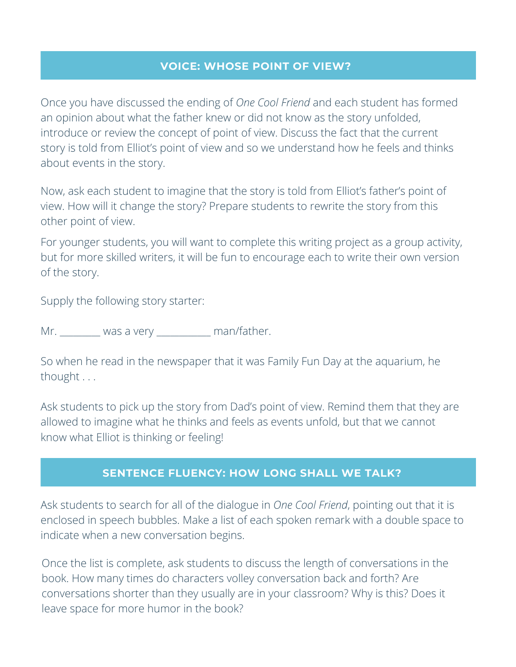#### **VOICE: WHOSE POINT OF VIEW?**

Once you have discussed the ending of *One Cool Friend* and each student has formed an opinion about what the father knew or did not know as the story unfolded, introduce or review the concept of point of view. Discuss the fact that the current story is told from Elliot's point of view and so we understand how he feels and thinks about events in the story.

Now, ask each student to imagine that the story is told from Elliot's father's point of view. How will it change the story? Prepare students to rewrite the story from this other point of view.

For younger students, you will want to complete this writing project as a group activity, but for more skilled writers, it will be fun to encourage each to write their own version of the story.

Supply the following story starter:

Mr. \_\_\_\_\_\_\_\_\_ was a very \_\_\_\_\_\_\_\_\_\_\_\_ man/father.

So when he read in the newspaper that it was Family Fun Day at the aquarium, he thought . . .

Ask students to pick up the story from Dad's point of view. Remind them that they are allowed to imagine what he thinks and feels as events unfold, but that we cannot know what Elliot is thinking or feeling!

## **SENTENCE FLUENCY: HOW LONG SHALL WE TALK?**

Ask students to search for all of the dialogue in *One Cool Friend*, pointing out that it is enclosed in speech bubbles. Make a list of each spoken remark with a double space to indicate when a new conversation begins.

Once the list is complete, ask students to discuss the length of conversations in the book. How many times do characters volley conversation back and forth? Are conversations shorter than they usually are in your classroom? Why is this? Does it leave space for more humor in the book?